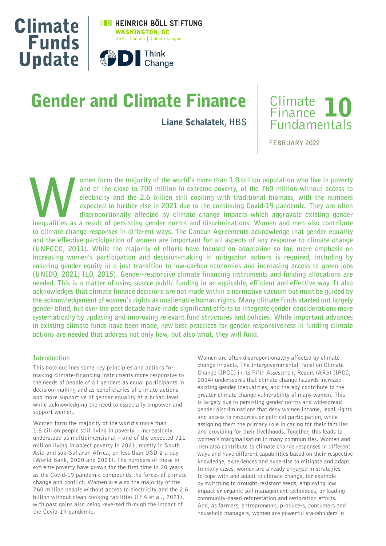

# Gender and Climate Finance

Liane Schalatek**, HBS**



**FEBRUARY 2022**

omen form the majority of the world's more than 1.8 billion population who live in poverty and of the close to 700 million in extreme poverty, of the 760 million without access to electricity and the 2.6 billion still cook **and of the close to 700 million in extreme poverty, of the 760 million without access to electricity and the 2.6 billion still cooking with traditional biomass, with the numbers expected to further rise in 2021 due to the continuing Covid-19 pandemic. They are often disproportionally affected by climate change impacts which aggravate existing gender to climate change responses in different ways. The Cancun Agreements acknowledge that gender equality and the effective participation of women are important for all aspects of any response to climate change (UNFCCC, 2011). While the majority of efforts have focused on adaptation so far, more emphasis on increasing women's participation and decision-making in mitigation actions is required, including by ensuring gender equity in a just transition to low-carbon economies and increasing access to green jobs (UNIDO, 2021; ILO, 2015). Gender-responsive climate financing instruments and funding allocations are needed. This is a matter of using scarce public funding in an equitable, efficient and effective way. It also acknowledges that climate finance decisions are not made within a normative vacuum but must be guided by the acknowledgement of women's rights as unalienable human rights. Many climate funds started out largely gender-blind, but over the past decade have made significant efforts to integrate gender considerations more systematically by updating and improving relevant fund structures and policies. While important advances in existing climate funds have been made, new best practices for gender-responsiveness in funding climate actions are needed that address not only how, but also what, they will fund.**

#### **Introduction**

This note outlines some key principles and actions for making climate-financing instruments more responsive to the needs of people of all genders as equal participants in decision-making and as beneficiaries of climate actions and more supportive of gender equality at a broad level while acknowledging the need to especially empower and support women.

Women form the majority of the world's more than 1.8 billion people still living in poverty – increasingly understood as multidimensional – and of the expected 711 million living in abject poverty in 2021, mostly in South Asia and sub-Saharan Africa, on less than USD 2 a day (World Bank, 2020 and 2021). The numbers of those in extreme poverty have grown for the first time in 20 years as the Covid-19 pandemic compounds the forces of climate change and conflict. Women are also the majority of the 760 million people without access to electricity and the 2.6 billion without clean cooking facilities (IEA et al., 2021), with past gains also being reversed through the impact of the Covid-19 pandemic.

Women are often disproportionately affected by climate change impacts. The Intergovernmental Panel on Climate Change (IPCC) in its Fifth Assessment Report (AR5) (IPCC, 2014) underscores that climate change hazards increase existing gender inequalities, and thereby contribute to the greater climate change vulnerability of many women. This is largely due to persisting gender norms and widespread gender discriminations that deny women income, legal rights and access to resources or political participation, while assigning them the primary role in caring for their families and providing for their livelihoods. Together, this leads to women's marginalisation in many communities. Women and men also contribute to climate change responses in different ways and have different capabilities based on their respective knowledge, experiences and expertise to mitigate and adapt. In many cases, women are already engaged in strategies to cope with and adapt to climate change, for example by switching to drought-resistant seeds, employing low impact or organic soil management techniques, or leading community-based reforestation and restoration efforts. And, as farmers, entrepreneurs, producers, consumers and household managers, women are powerful stakeholders in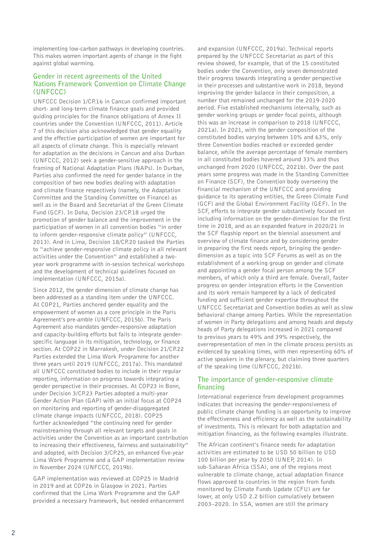implementing low-carbon pathways in developing countries. This makes women important agents of change in the fight against global warming.

## **Gender in recent agreements of the United Nations Framework Convention on Climate Change (UNFCCC)**

UNFCCC Decision 1/CP.16 in Cancun confirmed important short- and long-term climate finance goals and provided guiding principles for the finance obligations of Annex II countries under the Convention (UNFCCC, 2011). Article 7 of this decision also acknowledged that gender equality and the effective participation of women are important for all aspects of climate change. This is especially relevant for adaptation as the decisions in Cancun and also Durban (UNFCCC, 2012) seek a gender-sensitive approach in the framing of National Adaptation Plans (NAPs). In Durban, Parties also confirmed the need for gender balance in the composition of two new bodies dealing with adaptation and climate finance respectively (namely, the Adaptation Committee and the Standing Committee on Finance) as well as in the Board and Secretariat of the Green Climate Fund (GCF). In Doha, Decision 23/CP.18 urged the promotion of gender balance and the improvement in the participation of women in all convention bodies "in order to inform gender-responsive climate policy" (UNFCCC, 2013). And in Lima, Decision 18/CP.20 tasked the Parties to "achieve gender-responsive climate policy in all relevant activities under the Convention" and established a twoyear work programme with in-session technical workshops and the development of technical guidelines focused on implementation (UNFCCC, 2015a).

Since 2012, the gender dimension of climate change has been addressed as a standing item under the UNFCCC. At COP21, Parties anchored gender equality and the empowerment of women as a core principle in the Paris Agreement's pre-amble (UNFCCC, 2015b). The Paris Agreement also mandates gender-responsive adaptation and capacity-building efforts but fails to integrate genderspecific language in its mitigation, technology, or finance section. At COP22 in Marrakesh, under Decision 21/CP.22 Parties extended the Lima Work Programme for another three years until 2019 (UNFCCC, 2017a). This mandated all UNFCCC constituted bodies to include in their regular reporting, information on progress towards integrating a gender perspective in their processes. At COP23 in Bonn, under Decision 3/CP.23 Parties adopted a multi-year Gender Action Plan (GAP) with an initial focus at COP24 on monitoring and reporting of gender-disaggregated climate change impacts (UNFCCC, 2018). COP25 further acknowledged "the continuing need for gender mainstreaming through all relevant targets and goals in activities under the Convention as an important contribution to increasing their effectiveness, fairness and sustainability" and adopted, with Decision 3/CP.25, an enhanced five-year Lima Work Programme and a GAP implementation review in November 2024 (UNFCCC, 2019b).

GAP implementation was reviewed at COP25 in Madrid in 2019 and at COP26 in Glasgow in 2021. Parties confirmed that the Lima Work Programme and the GAP provided a necessary framework, but needed enhancement and expansion (UNFCCC, 2019a). Technical reports prepared by the UNFCCC Secretariat as part of this review showed, for example, that of the 15 constituted bodies under the Convention, only seven demonstrated their progress towards integrating a gender perspective in their processes and substantive work in 2018, beyond improving the gender balance in their composition, a number that remained unchanged for the 2019-2020 period. Five established mechanisms internally, such as gender working groups or gender focal points, although this was an increase in comparison to 2018 (UNFCCC, 2021a). In 2021, with the gender composition of the constituted bodies varying between 10% and 63%, only three Convention bodies reached or exceeded gender balance, while the average percentage of female members in all constituted bodies hovered around 33% and thus unchanged from 2020 (UNFCCC, 2021b). Over the past years some progress was made in the Standing Committee on Finance (SCF), the Convention body overseeing the financial mechanism of the UNFCCC and providing guidance to its operating entities, the Green Climate Fund (GCF) and the Global Environment Facility (GEF). In the SCF, efforts to integrate gender substantively focused on including information on the gender-dimension for the first time in 2018, and as an expanded feature in 2020/21 in the SCF flagship report on the biennial assessment and overview of climate finance and by considering gender in preparing the first needs report, bringing the genderdimension as a topic into SCF Forums as well as on the establishment of a working group on gender and climate and appointing a gender focal person among the SCF members, of which only a third are female. Overall, faster progress on gender integration efforts in the Convention and its work remain hampered by a lack of dedicated funding and sufficient gender expertise throughout the UNFCCC Secretariat and Convention bodies as well as slow behavioral change among Parties. While the representation of women in Party delegations and among heads and deputy heads of Party delegations increased in 2021 compared to previous years to 49% and 39% respectively, the overrepresentation of men in the climate process persists as evidenced by speaking times, with men representing 60% of active speakers in the plenary, but claiming three quarters of the speaking time (UNFCCC, 2021b).

# **The importance of gender-responsive climate financing**

International experience from development programmes indicates that increasing the gender-responsiveness of public climate change funding is an opportunity to improve the effectiveness and efficiency as well as the sustainability of investments. This is relevant for both adaptation and mitigation financing, as the following examples illustrate.

The African continent's finance needs for adaptation activities are estimated to be USD 50 billion to USD 100 billion per year by 2050 (UNEP, 2014). In sub-Saharan Africa (SSA), one of the regions most vulnerable to climate change, actual adaptation finance flows approved to countries in the region from funds monitored by Climate Funds Update (CFU) are far lower, at only USD 2.2 billion cumulatively between 2003–2020. In SSA, women are still the primary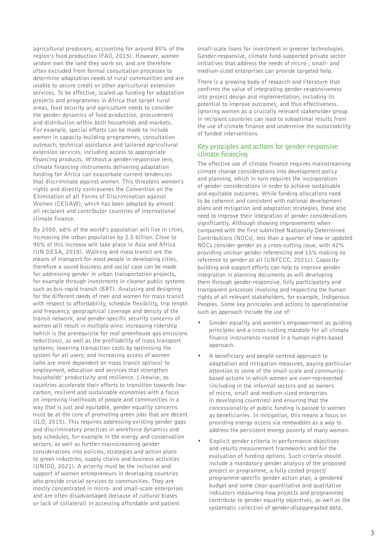agricultural producers, accounting for around 80% of the region's food production (FAO, 2015). However, women seldom own the land they work on, and are therefore often excluded from formal consultation processes to determine adaptation needs of rural communities and are unable to secure credit or other agricultural extension services. To be effective, scaled-up funding for adaptation projects and programmes in Africa that target rural areas, food security and agriculture needs to consider the gender dynamics of food production, procurement and distribution within both households and markets. For example, special efforts can be made to include women in capacity-building programmes, consultation outreach, technical assistance and tailored agricultural extension services, including access to appropriate financing products. Without a gender-responsive lens, climate financing instruments delivering adaptation funding for Africa can exacerbate current tendencies that discriminate against women. This threatens women's rights and directly contravenes the Convention on the Elimination of all Forms of Discrimination against Women (CEDAW), which has been adopted by almost all recipient and contributor countries of international climate finance.

By 2050, 68% of the world's population will live in cities, increasing the urban population by 2.5 billion. Close to 90% of this increase will take place in Asia and Africa (UN DESA, 2018). Walking and mass transit are the means of transport for most people in developing cities, therefore a sound business and social case can be made for addressing gender in urban transportation projects, for example through investments in cleaner public systems such as bus-rapid transit (BRT). Analysing and designing for the different needs of men and women for mass transit with respect to affordability, schedule flexibility, trip length and frequency, geographical coverage and density of the transit network, and gender-specific security concerns of women will result in multiple wins: increasing ridership (which is the prerequisite for real greenhouse gas emissions reductions), as well as the profitability of mass transport systems; lowering transaction costs by optimising the system for all users; and increasing access of women (who are more dependent on mass transit options) to employment, education and services that strengthen households' productivity and resilience. Likewise, as countries accelerate their efforts to transition towards lowcarbon, resilient and sustainable economies with a focus on improving livelihoods of people and communities in a way that is just and equitable, gender equality concerns must be at the core of promoting green jobs that are decent (ILO, 2015). This requires addressing existing gender gaps and discriminatory practices in workforce dynamics and pay schedules, for example in the energy and conservation sectors, as well as further mainstreaming gender considerations into policies, strategies and action plans to green industries, supply chains and business activities (UNIDO, 2021). A priority must be the inclusion and support of women entrepreneurs in developing countries who provide crucial services to communities. They are mostly concentrated in micro- and small-scale enterprises and are often disadvantaged (because of cultural biases or lack of collateral) in accessing affordable and patient

small-scale loans for investment in greener technologies. Gender-responsive, climate fund-supported private sector initiatives that address the needs of micro-, small- and medium-sized enterprises can provide targeted help.

There is a growing body of research and literature that confirms the value of integrating gender-responsiveness into project design and implementation, including its potential to improve outcomes, and thus effectiveness. Ignoring women as a crucially relevant stakeholder group in recipient countries can lead to suboptimal results from the use of climate finance and undermine the sustainability of funded interventions.

## **Key principles and actions for gender-responsive climate financing**

The effective use of climate finance requires mainstreaming climate change considerations into development policy and planning, which in turn requires the incorporation of gender considerations in order to achieve sustainable and equitable outcomes. While funding allocations need to be coherent and consistent with national development plans and mitigation and adaptation strategies, these also need to improve their integration of gender considerations significantly. Although showing improvements when compared with the first submitted Nationally Determined Contributions (NDCs), less than a quarter of new or updated NDCs consider gender as a cross-cutting issue, with 42% providing unclear gender referencing and 15% making no reference to gender at all (UNFCCC, 2021c). Capacitybuilding and support efforts can help to improve gender integration in planning documents as will developing them through gender-responsive, fully participatory and transparent processes involving and respecting the human rights of all relevant stakeholders, for example, Indigenous Peoples. Some key principles and actions to operationalise such an approach include the use of:

- Gender equality and women's empowerment as guiding principles and a cross-cutting mandate for all climate finance instruments rooted in a human rights-based approach.
- A beneficiary and people-centred approach to adaptation and mitigation measures, paying particular attention to some of the small-scale and communitybased actions in which women are over-represented (including in the informal sectors and as owners of micro, small and medium-sized enterprises in developing countries) and ensuring that the concessionality of public funding is passed to women as beneficiaries. In mitigation, this means a focus on providing energy access via renewables as a way to address the persistent energy poverty of many women.
- Explicit gender criteria in performance objectives and results measurement frameworks and for the evaluation of funding options. Such criteria should include a mandatory gender analysis of the proposed project or programme, a fully costed project/ programme-specific gender action plan, a gendered budget and some clear quantitative and qualitative indicators measuring how projects and programmes contribute to gender equality objectives, as well as the systematic collection of gender-disaggregated data.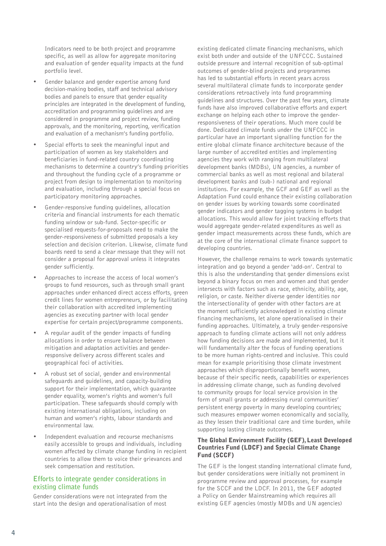Indicators need to be both project and programme specific, as well as allow for aggregate monitoring and evaluation of gender equality impacts at the fund portfolio level.

- Gender balance and gender expertise among fund decision-making bodies, staff and technical advisory bodies and panels to ensure that gender equality principles are integrated in the development of funding, accreditation and programming guidelines and are considered in programme and project review, funding approvals, and the monitoring, reporting, verification and evaluation of a mechanism's funding portfolio.
- Special efforts to seek the meaningful input and participation of women as key stakeholders and beneficiaries in fund-related country coordinating mechanisms to determine a country's funding priorities and throughout the funding cycle of a programme or project from design to implementation to monitoring and evaluation, including through a special focus on participatory monitoring approaches.
- Gender-responsive funding guidelines, allocation criteria and financial instruments for each thematic funding window or sub-fund. Sector-specific or specialised requests-for-proposals need to make the gender-responsiveness of submitted proposals a key selection and decision criterion. Likewise, climate fund boards need to send a clear message that they will not consider a proposal for approval unless it integrates gender sufficiently.
- Approaches to increase the access of local women's groups to fund resources, such as through small grant approaches under enhanced direct access efforts, green credit lines for women entrepreneurs, or by facilitating their collaboration with accredited implementing agencies as executing partner with local gender expertise for certain project/programme components.
- A regular audit of the gender impacts of funding allocations in order to ensure balance between mitigation and adaptation activities and genderresponsive delivery across different scales and geographical foci of activities.
- A robust set of social, gender and environmental safeguards and guidelines, and capacity-building support for their implementation, which guarantee gender equality, women's rights and women's full participation. These safeguards should comply with existing international obligations, including on human and women's rights, labour standards and environmental law.
- Independent evaluation and recourse mechanisms easily accessible to groups and individuals, including women affected by climate change funding in recipient countries to allow them to voice their grievances and seek compensation and restitution.

## **Efforts to integrate gender considerations in existing climate funds**

Gender considerations were not integrated from the start into the design and operationalisation of most

existing dedicated climate financing mechanisms, which exist both under and outside of the UNFCCC. Sustained outside pressure and internal recognition of sub-optimal outcomes of gender-blind projects and programmes has led to substantial efforts in recent years across several multilateral climate funds to incorporate gender considerations retroactively into fund programming guidelines and structures. Over the past few years, climate funds have also improved collaborative efforts and expert exchange on helping each other to improve the genderresponsiveness of their operations. Much more could be done. Dedicated climate funds under the UNFCCC in particular have an important signalling function for the entire global climate finance architecture because of the large number of accredited entities and implementing agencies they work with ranging from multilateral development banks (MDBs), UN agencies, a number of commercial banks as well as most regional and bilateral development banks and (sub-) national and regional institutions. For example, the GCF and GEF as well as the Adaptation Fund could enhance their existing collaboration on gender issues by working towards some coordinated gender indicators and gender tagging systems in budget allocations. This would allow for joint tracking efforts that would aggregate gender-related expenditures as well as gender impact measurements across these funds, which are at the core of the international climate finance support to developing countries.

However, the challenge remains to work towards systematic integration and go beyond a gender 'add-on'. Central to this is also the understanding that gender dimensions exist beyond a binary focus on men and women and that gender intersects with factors such as race, ethnicity, ability, age, religion, or caste. Neither diverse gender identities nor the intersectionality of gender with other factors are at the moment sufficiently acknowledged in existing climate financing mechanisms, let alone operationalised in their funding approaches. Ultimately, a truly gender-responsive approach to funding climate actions will not only address how funding decisions are made and implemented, but it will fundamentally alter the focus of funding operations to be more human rights-centred and inclusive. This could mean for example prioritising those climate investment approaches which disproportionally benefit women, because of their specific needs, capabilities or experiences in addressing climate change, such as funding devolved to community groups for local service provision in the form of small grants or addressing rural communities' persistent energy poverty in many developing countries; such measures empower women economically and socially, as they lessen their traditional care and time burden, while supporting lasting climate outcomes.

### The Global Environment Facility (GEF), Least Developed Countries Fund (LDCF) and Special Climate Change Fund (SCCF)

The GEF is the longest standing international climate fund, but gender considerations were initially not prominent in programme review and approval processes, for example for the SCCF and the LDCF. In 2011, the GEF adopted a Policy on Gender Mainstreaming which requires all existing GEF agencies (mostly MDBs and UN agencies)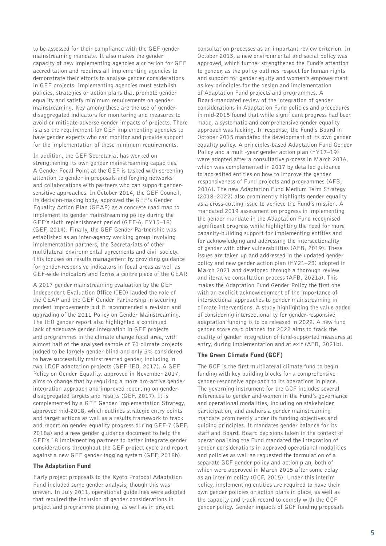to be assessed for their compliance with the GEF gender mainstreaming mandate. It also makes the gender capacity of new implementing agencies a criterion for GEF accreditation and requires all implementing agencies to demonstrate their efforts to analyse gender considerations in GEF projects. Implementing agencies must establish policies, strategies or action plans that promote gender equality and satisfy minimum requirements on gender mainstreaming. Key among these are the use of genderdisaggregated indicators for monitoring and measures to avoid or mitigate adverse gender impacts of projects. There is also the requirement for GEF implementing agencies to have gender experts who can monitor and provide support for the implementation of these minimum requirements.

In addition, the GEF Secretariat has worked on strengthening its own gender mainstreaming capacities. A Gender Focal Point at the GEF is tasked with screening attention to gender in proposals and forging networks and collaborations with partners who can support gendersensitive approaches. In October 2014, the GEF Council, its decision-making body, approved the GEF's Gender Equality Action Plan (GEAP) as a concrete road map to implement its gender mainstreaming policy during the GEF's sixth replenishment period (GEF-6, FY15–18) (GEF, 2014). Finally, the GEF Gender Partnership was established as an inter-agency working group involving implementation partners, the Secretariats of other multilateral environmental agreements and civil society. This focuses on results management by providing guidance for gender-responsive indicators in focal areas as well as GEF-wide indicators and forms a centre piece of the GEAP.

A 2017 gender mainstreaming evaluation by the GEF Independent Evaluation Office (IEO) lauded the role of the GEAP and the GEF Gender Partnership in securing modest improvements but it recommended a revision and upgrading of the 2011 Policy on Gender Mainstreaming. The IEO gender report also highlighted a continued lack of adequate gender integration in GEF projects and programmes in the climate change focal area, with almost half of the analysed sample of 70 climate projects judged to be largely gender-blind and only 5% considered to have successfully mainstreamed gender, including in two LDCF adaptation projects (GEF IEO, 2017). A GEF Policy on Gender Equality, approved in November 2017, aims to change that by requiring a more pro-active gender integration approach and improved reporting on genderdisaggregated targets and results (GEF, 2017). It is complemented by a GEF Gender Implementation Strategy, approved mid-2018, which outlines strategic entry points and target actions as well as a results framework to track and report on gender equality progress during GEF-7 (GEF, 2018a) and a new gender guidance document to help the GEF's 18 implementing partners to better integrate gender considerations throughout the GEF project cycle and report against a new GEF gender tagging system (GEF, 2018b).

#### The Adaptation Fund

Early project proposals to the Kyoto Protocol Adaptation Fund included some gender analysis, though this was uneven. In July 2011, operational guidelines were adopted that required the inclusion of gender considerations in project and programme planning, as well as in project

consultation processes as an important review criterion. In October 2013, a new environmental and social policy was approved, which further strengthened the Fund's attention to gender, as the policy outlines respect for human rights and support for gender equity and women's empowerment as key principles for the design and implementation of Adaptation Fund projects and programmes. A Board-mandated review of the integration of gender considerations in Adaptation Fund policies and procedures in mid-2015 found that while significant progress had been made, a systematic and comprehensive gender equality approach was lacking. In response, the Fund's Board in October 2015 mandated the development of its own gender equality policy. A principles-based Adaptation Fund Gender Policy and a multi-year gender action plan (FY17–19) were adopted after a consultative process in March 2016, which was complemented in 2017 by detailed guidance to accredited entities on how to improve the gender responsiveness of Fund projects and programmes (AFB, 2016). The new Adaptation Fund Medium Term Strategy (2018–2022) also prominently highlights gender equality as a cross-cutting issue to achieve the Fund's mission. A mandated 2019 assessment on progress in implementing the gender mandate in the Adaptation Fund recognised significant progress while highlighting the need for more capacity-building support for implementing entities and for acknowledging and addressing the intersectionality of gender with other vulnerabilities (AFB, 2019). These issues are taken up and addressed in the updated gender policy and new gender action plan (FY21–23) adopted in March 2021 and developed through a thorough review and iterative consultation process (AFB, 2021a). This makes the Adaptation Fund Gender Policy the first one with an explicit acknowledgment of the importance of intersectional approaches to gender mainstreaming in climate interventions. A study highlighting the value added of considering intersectionality for gender-responsive adaptation funding is to be released in 2022. A new fund gender score card planned for 2022 aims to track the quality of gender integration of fund-supported measures at entry, during implementation and at exit (AFB, 2021b).

### The Green Climate Fund (GCF)

The GCF is the first multilateral climate fund to begin funding with key building blocks for a comprehensive gender-responsive approach to its operations in place. The governing instrument for the GCF includes several references to gender and women in the Fund's governance and operational modalities, including on stakeholder participation, and anchors a gender mainstreaming mandate prominently under its funding objectives and guiding principles. It mandates gender balance for its staff and Board. Board decisions taken in the context of operationalising the Fund mandated the integration of gender considerations in approved operational modalities and policies as well as requested the formulation of a separate GCF gender policy and action plan, both of which were approved in March 2015 after some delay as an interim policy (GCF, 2015). Under this interim policy, implementing entities are required to have their own gender policies or action plans in place, as well as the capacity and track record to comply with the GCF gender policy. Gender impacts of GCF funding proposals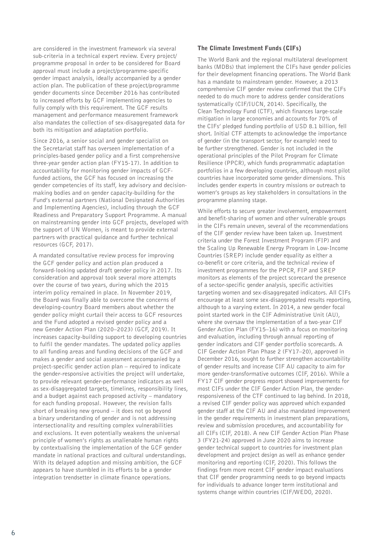are considered in the investment framework via several sub-criteria in a technical expert review. Every project/ programme proposal in order to be considered for Board approval must include a project/programme-specific gender impact analysis, ideally accompanied by a gender action plan. The publication of these project/programme gender documents since December 2016 has contributed to increased efforts by GCF implementing agencies to fully comply with this requirement. The GCF results management and performance measurement framework also mandates the collection of sex-disaggregated data for both its mitigation and adaptation portfolio.

Since 2016, a senior social and gender specialist on the Secretariat staff has overseen implementation of a principles-based gender policy and a first comprehensive three-year gender action plan (FY15-17). In addition to accountability for monitoring gender impacts of GCFfunded actions, the GCF has focused on increasing the gender competencies of its staff, key advisory and decisionmaking bodies and on gender capacity-building for the Fund's external partners (National Designated Authorities and Implementing Agencies), including through the GCF Readiness and Preparatory Support Programme. A manual on mainstreaming gender into GCF projects, developed with the support of UN Women, is meant to provide external partners with practical guidance and further technical resources (GCF, 2017).

A mandated consultative review process for improving the GCF gender policy and action plan produced a forward-looking updated draft gender policy in 2017. Its consideration and approval took several more attempts over the course of two years, during which the 2015 interim policy remained in place. In November 2019, the Board was finally able to overcome the concerns of developing-country Board members about whether the gender policy might curtail their access to GCF resources and the Fund adopted a revised gender policy and a new Gender Action Plan (2020–2023) (GCF, 2019). It increases capacity-building support to developing countries to fulfil the gender mandates. The updated policy applies to all funding areas and funding decisions of the GCF and makes a gender and social assessment accompanied by a project-specific gender action plan – required to indicate the gender-responsive activities the project will undertake, to provide relevant gender-performance indicators as well as sex-disaggregated targets, timelines, responsibility lines, and a budget against each proposed activity – mandatory for each funding proposal. However, the revision falls short of breaking new ground – it does not go beyond a binary understanding of gender and is not addressing intersectionality and resulting complex vulnerabilities and exclusions. It even potentially weakens the universal principle of women's rights as unalienable human rights by contextualising the implementation of the GCF gender mandate in national practices and cultural understandings. With its delayed adoption and missing ambition, the GCF appears to have stumbled in its efforts to be a gender integration trendsetter in climate finance operations.

# The Climate Investment Funds (CIFs)

The World Bank and the regional multilateral development banks (MDBs) that implement the CIFs have gender policies for their development financing operations. The World Bank has a mandate to mainstream gender. However, a 2013 comprehensive CIF gender review confirmed that the CIFs needed to do much more to address gender considerations systematically (CIF/IUCN, 2014). Specifically, the Clean Technology Fund (CTF), which finances large-scale mitigation in large economies and accounts for 70% of the CIFs' pledged funding portfolio of USD 8.1 billion, fell short. Initial CTF attempts to acknowledge the importance of gender (in the transport sector, for example) need to be further strengthened. Gender is not included in the operational principles of the Pilot Program for Climate Resilience (PPCR), which funds programmatic adaptation portfolios in a few developing countries, although most pilot countries have incorporated some gender dimensions. This includes gender experts in country missions or outreach to women's groups as key stakeholders in consultations in the programme planning stage.

While efforts to secure greater involvement, empowerment and benefit-sharing of women and other vulnerable groups in the CIFs remain uneven, several of the recommendations of the CIF gender review have been taken up. Investment criteria under the Forest Investment Program (FIP) and the Scaling Up Renewable Energy Program in Low-Income Countries (SREP) include gender equality as either a co-benefit or core criteria, and the technical review of investment programmes for the PPCR, FIP and SREP monitors as elements of the project scorecard the presence of a sector-specific gender analysis, specific activities targeting women and sex-disaggregated indicators. All CIFs encourage at least some sex-disaggregated results reporting, although to a varying extent. In 2014, a new gender focal point started work in the CIF Administrative Unit (AU), where she oversaw the implementation of a two-year CIF Gender Action Plan (FY15–16) with a focus on monitoring and evaluation, including through annual reporting of gender indicators and CIF gender portfolio scorecards. A CIF Gender Action Plan Phase 2 (FY17–20), approved in December 2016, sought to further strengthen accountability of gender results and increase CIF AU capacity to aim for more gender-transformative outcomes (CIF, 2016). While a FY17 CIF gender progress report showed improvements for most CIFs under the CIF Gender Action Plan, the genderresponsiveness of the CTF continued to lag behind. In 2018, a revised CIF gender policy was approved which expanded gender staff at the CIF AU and also mandated improvement in the gender requirements in investment plan preparations, review and submission procedures, and accountability for all CIFs (CIF, 2018). A new CIF Gender Action Plan Phase 3 (FY21-24) approved in June 2020 aims to increase gender technical support to countries for investment plan development and project design as well as enhance gender monitoring and reporting (CIF, 2020). This follows the findings from more recent CIF gender impact evaluations that CIF gender programming needs to go beyond impacts for individuals to advance longer term institutional and systems change within countries (CIF/WEDO, 2020).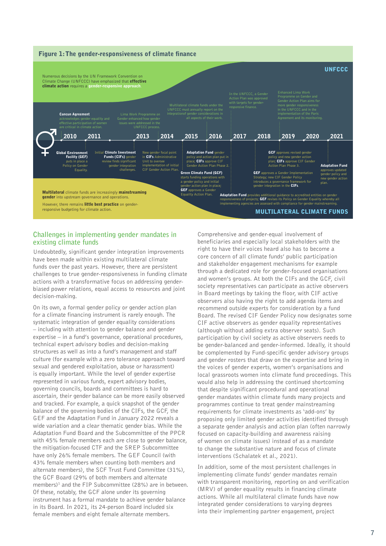

# **Challenges in implementing gender mandates in existing climate funds**

Undoubtedly, significant gender integration improvements have been made within existing multilateral climate funds over the past years. However, there are persistent challenges to true gender-responsiveness in funding climate actions with a transformative focus on addressing genderbiased power relations, equal access to resources and joint decision-making.

On its own, a formal gender policy or gender action plan for a climate financing instrument is rarely enough. The systematic integration of gender equality considerations – including with attention to gender balance and gender expertise – in a fund's governance, operational procedures, technical expert advisory bodies and decision-making structures as well as into a fund's management and staff culture (for example with a zero tolerance approach toward sexual and gendered exploitation, abuse or harassment) is equally important. While the level of gender expertise represented in various funds, expert advisory bodies, governing councils, boards and committees is hard to ascertain, their gender balance can be more easily observed and tracked. For example, a quick snapshot of the gender balance of the governing bodies of the CIFs, the GCF, the GEF and the Adaptation Fund in January 2022 reveals a wide variation and a clear thematic gender bias. While the Adaptation Fund Board and the Subcommittee of the PPCR with 45% female members each are close to gender balance, the mitigation-focused CTF and the SREP Subcommittee have only 26% female members. The GEF Council (with 43% female members when counting both members and alternate members), the SCF Trust Fund Committee (31%), the GCF Board (29% of both members and alternate members)<sup>1</sup> and the FIP Subcommittee (28%) are in between. Of these, notably, the GCF alone under its governing instrument has a formal mandate to achieve gender balance in its Board. In 2021, its 24-person Board included six female members and eight female alternate members.

Comprehensive and gender-equal involvement of beneficiaries and especially local stakeholders with the right to have their voices heard also has to become a core concern of all climate funds' public participation and stakeholder engagement mechanisms for example through a dedicated role for gender-focused organisations and women's groups. At both the CIFs and the GCF, civil society representatives can participate as active observers in Board meetings by taking the floor, with CIF active observers also having the right to add agenda items and recommend outside experts for consideration by a fund Board. The revised CIF Gender Policy now designates some CIF active observers as gender equality representatives (although without adding extra observer seats). Such participation by civil society as active observers needs to be gender-balanced and gender-informed. Ideally, it should be complemented by Fund-specific gender advisory groups and gender rosters that draw on the expertise and bring in the voices of gender experts, women's organisations and local grassroots women into climate fund proceedings. This would also help in addressing the continued shortcoming that despite significant procedural and operational gender mandates within climate funds many projects and programmes continue to treat gender mainstreaming requirements for climate investments as 'add-ons' by proposing only limited gender activities identified through a separate gender analysis and action plan (often narrowly focused on capacity-building and awareness raising of women on climate issues) instead of as a mandate to change the substantive nature and focus of climate interventions (Schalatek et al., 2021).

In addition, some of the most persistent challenges in implementing climate funds' gender mandates remain with transparent monitoring, reporting on and verification (MRV) of gender equality results in financing climate actions. While all multilateral climate funds have now integrated gender considerations to varying degrees into their implementing partner engagement, project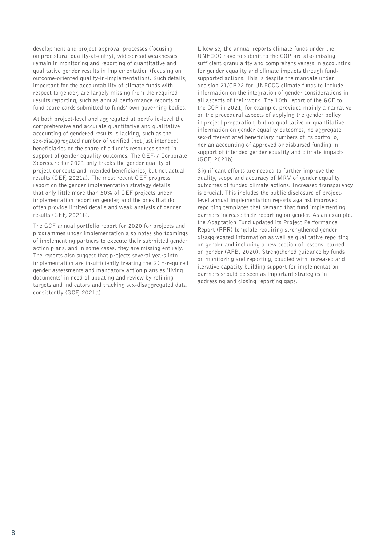development and project approval processes (focusing on procedural quality-at-entry), widespread weaknesses remain in monitoring and reporting of quantitative and qualitative gender results in implementation (focusing on outcome-oriented quality-in-implementation). Such details, important for the accountability of climate funds with respect to gender, are largely missing from the required results reporting, such as annual performance reports or fund score cards submitted to funds' own governing bodies.

At both project-level and aggregated at portfolio-level the comprehensive and accurate quantitative and qualitative accounting of gendered results is lacking, such as the sex-disaggregated number of verified (not just intended) beneficiaries or the share of a fund's resources spent in support of gender equality outcomes. The GEF-7 Corporate Scorecard for 2021 only tracks the gender quality of project concepts and intended beneficiaries, but not actual results (GEF, 2021a). The most recent GEF progress report on the gender implementation strategy details that only little more than 50% of GEF projects under implementation report on gender, and the ones that do often provide limited details and weak analysis of gender results (GEF, 2021b).

The GCF annual portfolio report for 2020 for projects and programmes under implementation also notes shortcomings of implementing partners to execute their submitted gender action plans, and in some cases, they are missing entirely. The reports also suggest that projects several years into implementation are insufficiently treating the GCF-required gender assessments and mandatory action plans as 'living documents' in need of updating and review by refining targets and indicators and tracking sex-disaggregated data consistently (GCF, 2021a).

Likewise, the annual reports climate funds under the UNFCCC have to submit to the COP are also missing sufficient granularity and comprehensiveness in accounting for gender equality and climate impacts through fundsupported actions. This is despite the mandate under decision 21/CP.22 for UNFCCC climate funds to include information on the integration of gender considerations in all aspects of their work. The 10th report of the GCF to the COP in 2021, for example, provided mainly a narrative on the procedural aspects of applying the gender policy in project preparation, but no qualitative or quantitative information on gender equality outcomes, no aggregate sex-differentiated beneficiary numbers of its portfolio, nor an accounting of approved or disbursed funding in support of intended gender equality and climate impacts (GCF, 2021b).

Significant efforts are needed to further improve the quality, scope and accuracy of MRV of gender equality outcomes of funded climate actions. Increased transparency is crucial. This includes the public disclosure of projectlevel annual implementation reports against improved reporting templates that demand that fund implementing partners increase their reporting on gender. As an example, the Adaptation Fund updated its Project Performance Report (PPR) template requiring strengthened genderdisaggregated information as well as qualitative reporting on gender and including a new section of lessons learned on gender (AFB, 2020). Strengthened guidance by funds on monitoring and reporting, coupled with increased and iterative capacity building support for implementation partners should be seen as important strategies in addressing and closing reporting gaps.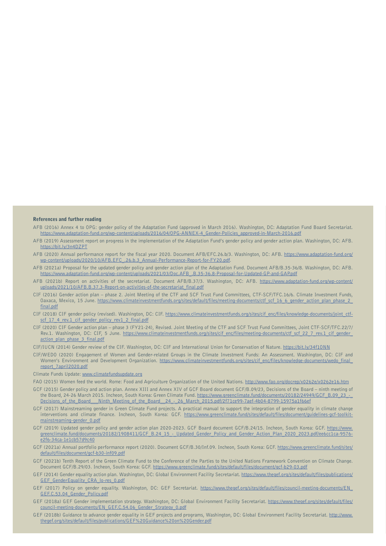#### References and further reading

- AFB (2016) Annex 4 to OPG: gender policy of the Adaptation Fund (approved in March 2016). Washington, DC: Adaptation Fund Board Secretariat. [https://www.adaptation-fund.org/wp-content/uploads/2016/04/OPG-ANNEX-4\\_Gender-Policies\\_approved-in-March-2016.pdf](https://www.adaptation-fund.org/wp-content/uploads/2016/04/OPG-ANNEX-4_Gender-Policies_approved-in-March-2016.pdf)
- AFB (2019) Assessment report on progress in the implementation of the Adaptation Fund's gender policy and gender action plan. Washington, DC: AFB. <https://bit.ly/3n4DZPT>
- AFB (2020) Annual performance report for the fiscal year 2020. Document AFB/EFC.26.b/3. Washington, DC: AFB. [https://www.adaptation-fund.org/](https://www.adaptation-fund.org/wp-content/uploads/2020/10/AFB.EFC_.26.b.3_Annual-Performance-Report-for-FY20.pdf) [wp-content/uploads/2020/10/AFB.EFC\\_.26.b.3\\_Annual-Performance-Report-for-FY20.pdf.](https://www.adaptation-fund.org/wp-content/uploads/2020/10/AFB.EFC_.26.b.3_Annual-Performance-Report-for-FY20.pdf)
- AFB (2021a) Proposal for the updated gender policy and gender action plan of the Adaptation Fund. Document AFB/B.35-36/8. Washington, DC: AFB. [https://www.adaptation-fund.org/wp-content/uploads/2021/03/Doc.AFB\\_.B.35-36.8-Proposal-for-Updated-GP-and-GAP.pdf](https://www.adaptation-fund.org/wp-content/uploads/2021/03/Doc.AFB_.B.35-36.8-Proposal-for-Updated-GP-and-GAP.pdf)
- AFB (2021b) Report on activities of the secretariat. Document AFB/B.37/3. Washington, DC: AFB. [https://www.adaptation-fund.org/wp-content/](https://www.adaptation-fund.org/wp-content/uploads/2021/10/AFB.B.37.3-Report-on-activities-of-the-secretariat_final.pdf) [uploads/2021/10/AFB.B.37.3-Report-on-activities-of-the-secretariat\\_final.pdf](https://www.adaptation-fund.org/wp-content/uploads/2021/10/AFB.B.37.3-Report-on-activities-of-the-secretariat_final.pdf)
- CIF (2016) Gender action plan phase 2. Joint Meeting of the CTF and SCF Trust Fund Committees, CTF-SCF/TFC.16/6. Climate Investment Funds, Oaxaca, Mexico, 15 June. [https://www.climateinvestmentfunds.org/sites/default/files/meeting-documents/ctf\\_scf\\_16\\_6\\_gender\\_action\\_plan\\_phase\\_2\\_](https://www.climateinvestmentfunds.org/sites/default/files/meeting-documents/ctf_scf_16_6_gender_action_plan_phase_2_final.pdf) [final.pdf](https://www.climateinvestmentfunds.org/sites/default/files/meeting-documents/ctf_scf_16_6_gender_action_plan_phase_2_final.pdf)
- CIF (2018) CIF gender policy (revised). Washington, DC: CIF. [https://www.climateinvestmentfunds.org/sites/cif\\_enc/files/knowledge-documents/joint\\_ctf](https://www.climateinvestmentfunds.org/sites/cif_enc/files/knowledge-documents/joint_ctf-scf_17_4_rev.1_cif_gender_policy_rev1_2_final.pdf)scf 17 4 rev.1 cif gender policy rev1 2 final.pdf
- CIF (2020) CIF Gender action plan phase 3 (FY21-24), Revised. Joint Meeting of the CTF and SCF Trust Fund Committees, Joint CTF-SCF/TFC.22/7/ Rev.1. Washington, DC: CIF, 5 June. https://www.climateinvestmentfunds.org/sites/cif\_enc/files/meeting-documents/ctf\_scf\_22\_7\_rev.1\_cif\_gender action plan phase 3 final.pdf
- CIF/IUCN (2014) Gender review of the CIF. Washington, DC: CIF and International Union for Conservation of Nature. <https://bit.ly/34f1ONN>
- CIF/WEDO (2020) Engagement of Women and Gender-related Groups in the Climate Investment Funds: An Assessment. Washington, DC: CIF and Women's Environment and Development Organization. [https://www.climateinvestmentfunds.org/sites/cif\\_enc/files/knowledge-documents/wedo\\_final\\_](https://www.climateinvestmentfunds.org/sites/cif_enc/files/knowledge-documents/wedo_final_report_7april2020.pdf) [report\\_7april2020.pdf](https://www.climateinvestmentfunds.org/sites/cif_enc/files/knowledge-documents/wedo_final_report_7april2020.pdf)

#### Climate Funds Update: [www.climatefundsupdate.org](http://www.climatefundsupdate.org)

FAO (2015) Women feed the world. Rome: Food and Agriculture Organization of the United Nations.<http://www.fao.org/docrep/x0262e/x0262e16.htm>

- GCF (2015) Gender policy and action plan. Annex XIII and Annex XIV of GCF Board document GCF/B.09/23, Decisions of the Board ninth meeting of the Board, 24-26 March 2015. Incheon, South Korea: Green Climate Fund. https://www.greenclimate.fund/documents/20182/24949/GCF\_B.09\_23\_-Decisions of the Board Ninth Meeting of the Board 24 - 26 March 2015.pdf/2f71ce99-7aef-4b04-8799-15975a1f66ef
- GCF (2017) Mainstreaming gender in Green Climate Fund projects. A practical manual to support the integration of gender equality in climate change interventions and climate finance. Incheon, South Korea: GCF. [https://www.greenclimate.fund/sites/default/files/document/guidelines-gcf-toolkit](https://www.greenclimate.fund/sites/default/files/document/guidelines-gcf-toolkit-mainstreaming-gender_0.pdf)[mainstreaming-gender\\_0.pdf](https://www.greenclimate.fund/sites/default/files/document/guidelines-gcf-toolkit-mainstreaming-gender_0.pdf)
- GCF (2019) Updated gender policy and gender action plan 2020-2023. GCF Board document GCF/B.24/15. Incheon, South Korea: GCF. [https://www.](https://www.greenclimate.fund/documents/20182/1908411/GCF_B.24_15_-_Updated_Gender_Policy_and_Gender_Action_Plan_2020_2023.pdf/ee6cc1ca-9576-e2f6-34ca-1e1cb57d9c40) [greenclimate.fund/documents/20182/1908411/GCF\\_B.24\\_15\\_-\\_Updated\\_Gender\\_Policy\\_and\\_Gender\\_Action\\_Plan\\_2020\\_2023.pdf/ee6cc1ca-9576](https://www.greenclimate.fund/documents/20182/1908411/GCF_B.24_15_-_Updated_Gender_Policy_and_Gender_Action_Plan_2020_2023.pdf/ee6cc1ca-9576-e2f6-34ca-1e1cb57d9c40) [e2f6-34ca-1e1cb57d9c40](https://www.greenclimate.fund/documents/20182/1908411/GCF_B.24_15_-_Updated_Gender_Policy_and_Gender_Action_Plan_2020_2023.pdf/ee6cc1ca-9576-e2f6-34ca-1e1cb57d9c40)
- GCF (2021a) Annual portfolio performance report (2020). Document GCF/B.30/Inf.09. Incheon, South Korea: GCF. [https://www.greenclimate.fund/sites/](https://www.greenclimate.fund/sites/default/files/document/gcf-b30-inf09.pdf) [default/files/document/gcf-b30-inf09.pdf](https://www.greenclimate.fund/sites/default/files/document/gcf-b30-inf09.pdf)
- GCF (2021b) Tenth Report of the Green Climate Fund to the Conference of the Parties to the United Nations Framework Convention on Climate Change. Document GCF/B.29/03. Incheon, South Korea: GCF.<https://www.greenclimate.fund/sites/default/files/document/gcf-b29-03.pdf>
- GEF (2014) Gender equality action plan. Washington, DC: Global Environment Facility Secretariat. [https://www.thegef.org/sites/default/files/publications/](https://www.thegef.org/sites/default/files/publications/GEF_GenderEquality_CRA_lo-res_0.pdf) GEF GenderEquality CRA lo-res\_0.pdf
- GEF (2017) Policy on gender equality. Washington, DC: GEF Secretariat. [https://www.thegef.org/sites/default/files/council-meeting-documents/EN\\_](https://www.thegef.org/sites/default/files/council-meeting-documents/EN_GEF.C.53.04_Gender_Policy.pdf) [GEF.C.53.04\\_Gender\\_Policy.pdf](https://www.thegef.org/sites/default/files/council-meeting-documents/EN_GEF.C.53.04_Gender_Policy.pdf)
- GEF (2018a) GEF Gender implementation strategy. Washington, DC: Global Environment Facility Secretariat. [https://www.thegef.org/sites/default/files/](https://www.thegef.org/sites/default/files/council-meeting-documents/EN_GEF.C.54.06_Gender_Strategy_0.pdf) [council-meeting-documents/EN\\_GEF.C.54.06\\_Gender\\_Strategy\\_0.pdf](https://www.thegef.org/sites/default/files/council-meeting-documents/EN_GEF.C.54.06_Gender_Strategy_0.pdf)
- GEF (2018b) Guidance to advance gender equality in GEF projects and programs, Washington, DC: Global Environment Facility Secretariat. [http://www.](http://www.thegef.org/sites/default/files/publications/GEF%20Guidance%20on%20Gender.pdf) [thegef.org/sites/default/files/publications/GEF%20Guidance%20on%20Gender.pdf](http://www.thegef.org/sites/default/files/publications/GEF%20Guidance%20on%20Gender.pdf)

**9**